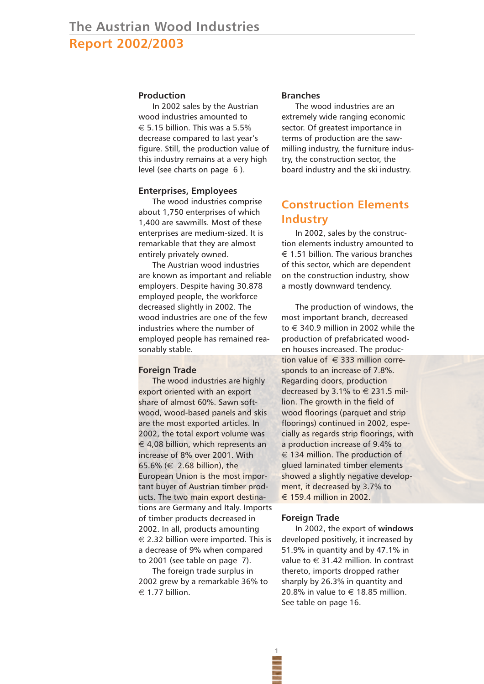## **Production**

In 2002 sales by the Austrian wood industries amounted to  $\epsilon$  5.15 billion. This was a 5.5% decrease compared to last year's figure. Still, the production value of this industry remains at a very high level (see charts on page 6 ).

## **Enterprises, Employees**

The wood industries comprise about 1,750 enterprises of which 1,400 are sawmills. Most of these enterprises are medium-sized. It is remarkable that they are almost entirely privately owned.

The Austrian wood industries are known as important and reliable employers. Despite having 30.878 employed people, the workforce decreased slightly in 2002. The wood industries are one of the few industries where the number of employed people has remained reasonably stable.

## **Foreign Trade**

The wood industries are highly export oriented with an export share of almost 60%. Sawn softwood, wood-based panels and skis are the most exported articles. In 2002, the total export volume was  $\epsilon$  4.08 billion, which represents an increase of 8% over 2001. With 65.6% (€ 2.68 billion), the European Union is the most important buyer of Austrian timber products. The two main export destinations are Germany and Italy. Imports of timber products decreased in 2002. In all, products amounting  $\epsilon$  2.32 billion were imported. This is a decrease of 9% when compared to 2001 (see table on page 7).

The foreign trade surplus in 2002 grew by a remarkable 36% to  $\epsilon$  1.77 billion.

#### **Branches**

The wood industries are an extremely wide ranging economic sector. Of greatest importance in terms of production are the sawmilling industry, the furniture industry, the construction sector, the board industry and the ski industry.

# **Construction Elements Industry**

In 2002, sales by the construction elements industry amounted to  $\epsilon$  1.51 billion. The various branches of this sector, which are dependent on the construction industry, show a mostly downward tendency.

The production of windows, the most important branch, decreased to  $\in$  340.9 million in 2002 while the production of prefabricated wooden houses increased. The production value of  $\in$  333 million corresponds to an increase of 7.8%. Regarding doors, production decreased by 3.1% to  $\in$  231.5 million. The growth in the field of wood floorings (parquet and strip floorings) continued in 2002, especially as regards strip floorings, with a production increase of 9.4% to € 134 million. The production of glued laminated timber elements showed a slightly negative development, it decreased by 3.7% to € 159.4 million in 2002.

#### **Foreign Trade**

**1**

In 2002, the export of **windows** developed positively, it increased by 51.9% in quantity and by 47.1% in value to  $\in$  31.42 million. In contrast thereto, imports dropped rather sharply by 26.3% in quantity and 20.8% in value to  $\in$  18.85 million. See table on page 16.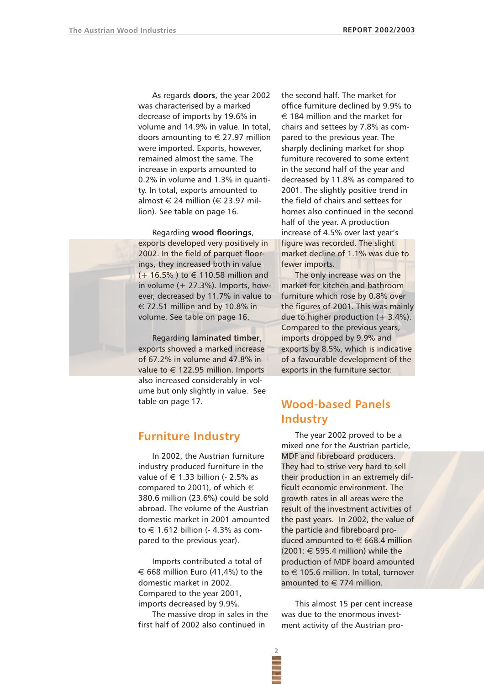As regards **doors**, the year 2002 was characterised by a marked decrease of imports by 19.6% in volume and 14.9% in value. In total, doors amounting to  $\in$  27.97 million were imported. Exports, however, remained almost the same. The increase in exports amounted to 0.2% in volume and 1.3% in quantity. In total, exports amounted to almost  $\in$  24 million ( $\in$  23.97 million). See table on page 16.

Regarding **wood floorings**, exports developed very positively in 2002. In the field of parquet floorings, they increased both in value  $(+ 16.5\%)$  to  $\in$  110.58 million and in volume  $(+ 27.3\%)$ . Imports, however, decreased by 11.7% in value to  $\epsilon$  72.51 million and by 10.8% in volume. See table on page 16.

Regarding **laminated timber**, exports showed a marked increase of 67.2% in volume and 47.8% in value to  $\in$  122.95 million. Imports also increased considerably in volume but only slightly in value. See table on page 17.

# **Furniture Industry**

In 2002, the Austrian furniture industry produced furniture in the value of  $\in$  1.33 billion (- 2.5% as compared to 2001), of which  $\in$ 380.6 million (23.6%) could be sold abroad. The volume of the Austrian domestic market in 2001 amounted to € 1.612 billion (- 4.3% as compared to the previous year).

Imports contributed a total of € 668 million Euro (41,4%) to the domestic market in 2002. Compared to the year 2001, imports decreased by 9.9%.

The massive drop in sales in the first half of 2002 also continued in

the second half. The market for office furniture declined by 9.9% to  $\epsilon$  184 million and the market for chairs and settees by 7.8% as compared to the previous year. The sharply declining market for shop furniture recovered to some extent in the second half of the year and decreased by 11.8% as compared to 2001. The slightly positive trend in the field of chairs and settees for homes also continued in the second half of the year. A production increase of 4.5% over last year's figure was recorded. The slight market decline of 1.1% was due to fewer imports.

The only increase was on the market for kitchen and bathroom furniture which rose by 0.8% over the figures of 2001. This was mainly due to higher production  $(+ 3.4\%).$ Compared to the previous years, imports dropped by 9.9% and exports by 8.5%, which is indicative of a favourable development of the exports in the furniture sector.

# **Wood-based Panels Industry**

The year 2002 proved to be a mixed one for the Austrian particle, MDF and fibreboard producers. They had to strive very hard to sell their production in an extremely difficult economic environment. The growth rates in all areas were the result of the investment activities of the past years. In 2002, the value of the particle and fibreboard produced amounted to  $\in$  668.4 million  $(2001: \in 595.4$  million) while the production of MDF board amounted to € 105.6 million. In total, turnover amounted to  $\in$  774 million.

This almost 15 per cent increase was due to the enormous investment activity of the Austrian pro-



**2**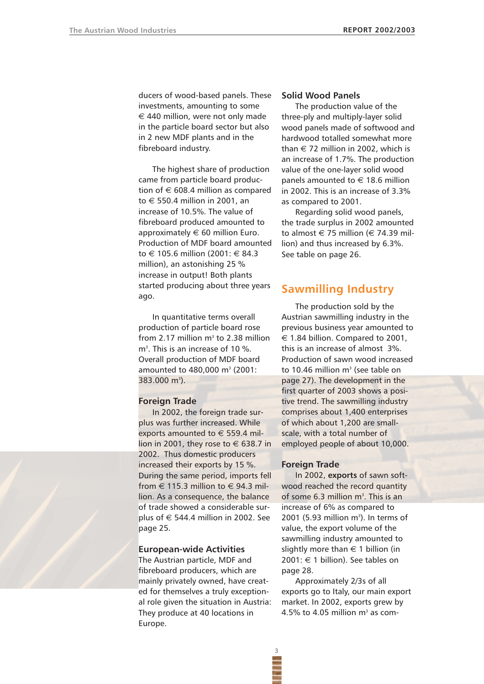ducers of wood-based panels. These investments, amounting to some  $\epsilon$  440 million, were not only made in the particle board sector but also in 2 new MDF plants and in the fibreboard industry.

The highest share of production came from particle board production of  $\in$  608.4 million as compared to € 550.4 million in 2001, an increase of 10.5%. The value of fibreboard produced amounted to approximately  $\in$  60 million Euro. Production of MDF board amounted to € 105.6 million (2001: € 84.3 million), an astonishing 25 % increase in output! Both plants started producing about three years ago.

In quantitative terms overall production of particle board rose from 2.17 million  $m<sup>3</sup>$  to 2.38 million m3 . This is an increase of 10 %. Overall production of MDF board amounted to 480,000 m<sup>3</sup> (2001: 383.000 m<sup>3</sup>).

#### **Foreign Trade**

In 2002, the foreign trade surplus was further increased. While exports amounted to  $\in$  559.4 million in 2001, they rose to  $\in$  638.7 in 2002. Thus domestic producers increased their exports by 15 %. During the same period, imports fell from  $\in$  115.3 million to  $\in$  94.3 million. As a consequence, the balance of trade showed a considerable surplus of  $\in$  544.4 million in 2002. See page 25.

## **European-wide Activities**

The Austrian particle, MDF and fibreboard producers, which are mainly privately owned, have created for themselves a truly exceptional role given the situation in Austria: They produce at 40 locations in Europe.

### **Solid Wood Panels**

The production value of the three-ply and multiply-layer solid wood panels made of softwood and hardwood totalled somewhat more than  $\in$  72 million in 2002, which is an increase of 1.7%. The production value of the one-layer solid wood panels amounted to  $\in$  18.6 million in 2002. This is an increase of 3.3% as compared to 2001.

Regarding solid wood panels, the trade surplus in 2002 amounted to almost  $\in$  75 million ( $\in$  74.39 million) and thus increased by 6.3%. See table on page 26.

# **Sawmilling Industry**

The production sold by the Austrian sawmilling industry in the previous business year amounted to € 1.84 billion. Compared to 2001, this is an increase of almost 3%. Production of sawn wood increased to 10.46 million  $m<sup>3</sup>$  (see table on page 27). The development in the first quarter of 2003 shows a positive trend. The sawmilling industry comprises about 1,400 enterprises of which about 1,200 are smallscale, with a total number of employed people of about 10,000.

#### **Foreign Trade**

**3**

In 2002, **exports** of sawn softwood reached the record quantity of some 6.3 million m<sup>3</sup>. This is an increase of 6% as compared to 2001 (5.93 million m $^3$ ). In terms of value, the export volume of the sawmilling industry amounted to slightly more than  $\in$  1 billion (in 2001:  $\in$  1 billion). See tables on page 28.

Approximately 2/3s of all exports go to Italy, our main export market. In 2002, exports grew by 4.5% to 4.05 million  $m<sup>3</sup>$  as com-